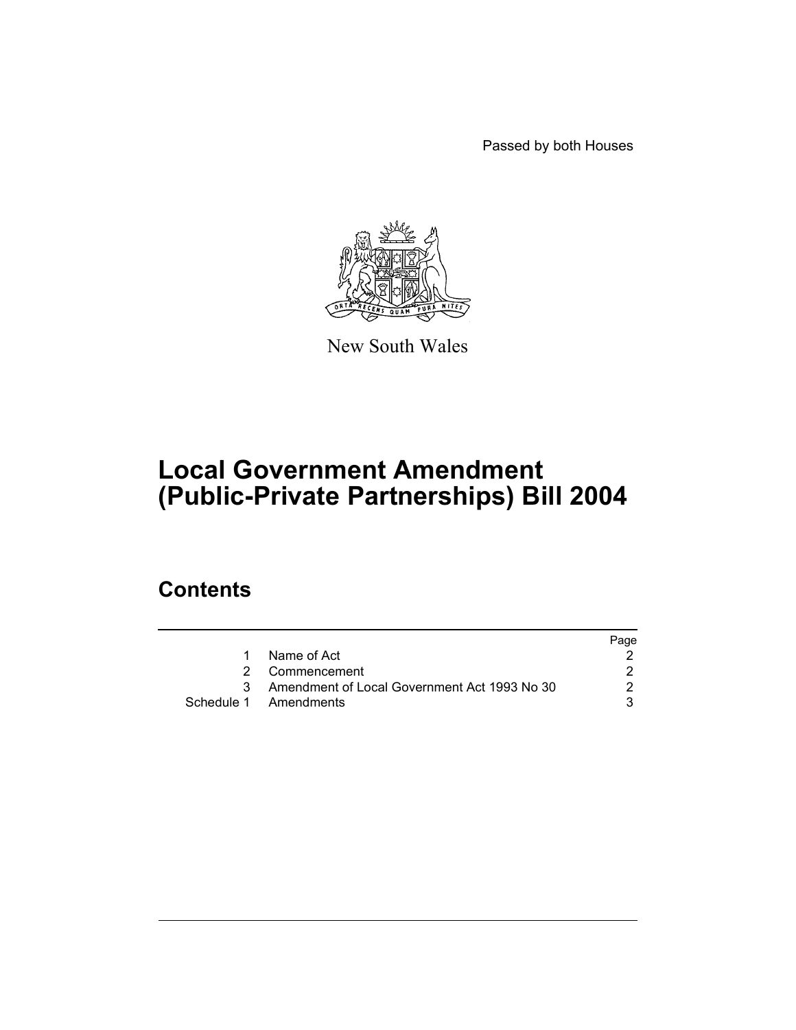Passed by both Houses



New South Wales

# **Local Government Amendment (Public-Private Partnerships) Bill 2004**

# **Contents**

|   |                                              | Page |
|---|----------------------------------------------|------|
|   | Name of Act                                  |      |
|   | 2 Commencement                               |      |
| 3 | Amendment of Local Government Act 1993 No 30 |      |
|   | Schedule 1 Amendments                        |      |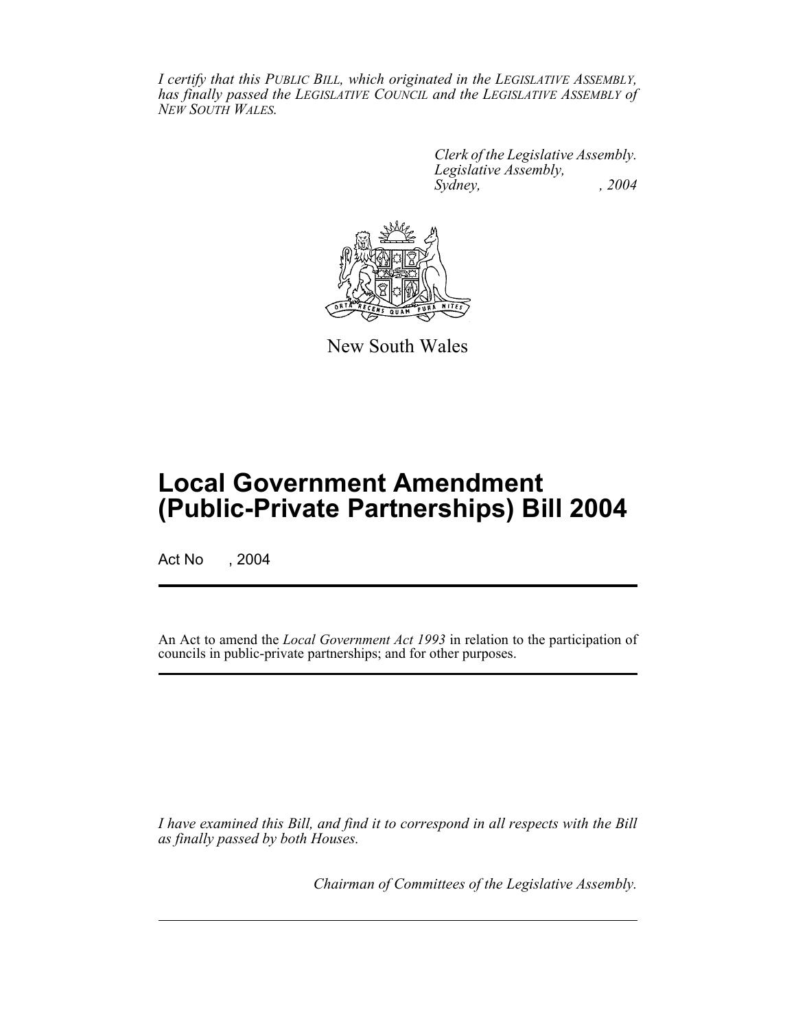*I certify that this PUBLIC BILL, which originated in the LEGISLATIVE ASSEMBLY, has finally passed the LEGISLATIVE COUNCIL and the LEGISLATIVE ASSEMBLY of NEW SOUTH WALES.*

> *Clerk of the Legislative Assembly. Legislative Assembly, Sydney, , 2004*



New South Wales

# **Local Government Amendment (Public-Private Partnerships) Bill 2004**

Act No , 2004

An Act to amend the *Local Government Act 1993* in relation to the participation of councils in public-private partnerships; and for other purposes.

*I have examined this Bill, and find it to correspond in all respects with the Bill as finally passed by both Houses.*

*Chairman of Committees of the Legislative Assembly.*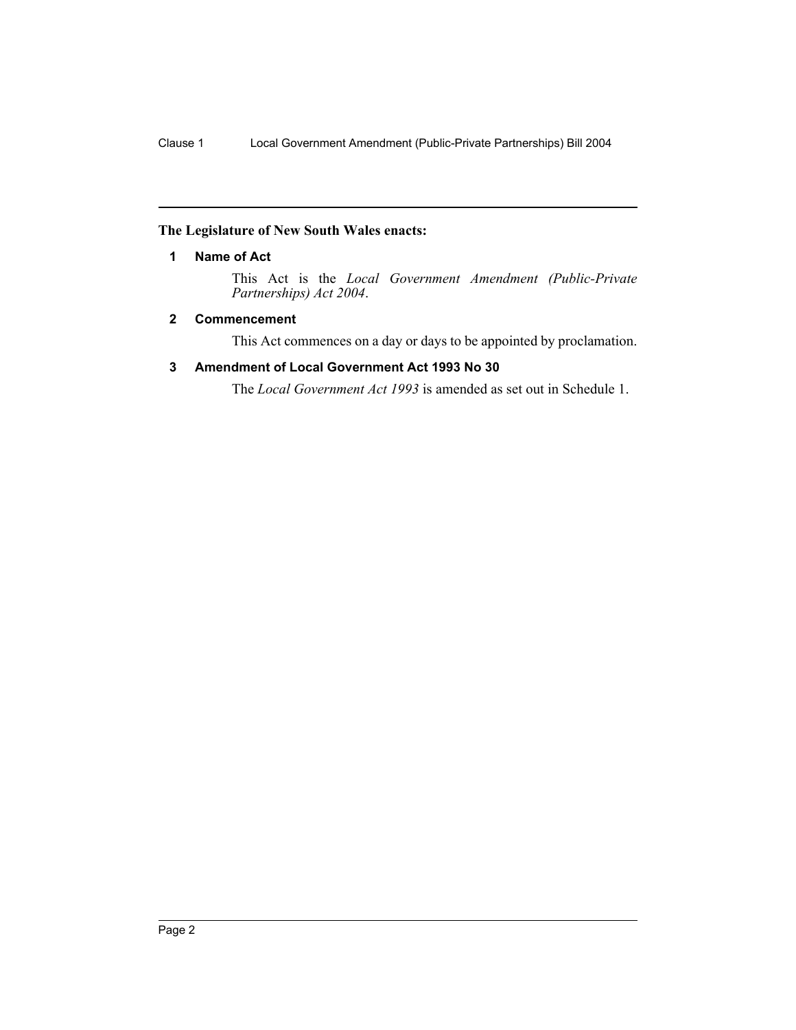# **The Legislature of New South Wales enacts:**

### **1 Name of Act**

This Act is the *Local Government Amendment (Public-Private Partnerships) Act 2004*.

#### **2 Commencement**

This Act commences on a day or days to be appointed by proclamation.

#### **3 Amendment of Local Government Act 1993 No 30**

The *Local Government Act 1993* is amended as set out in Schedule 1.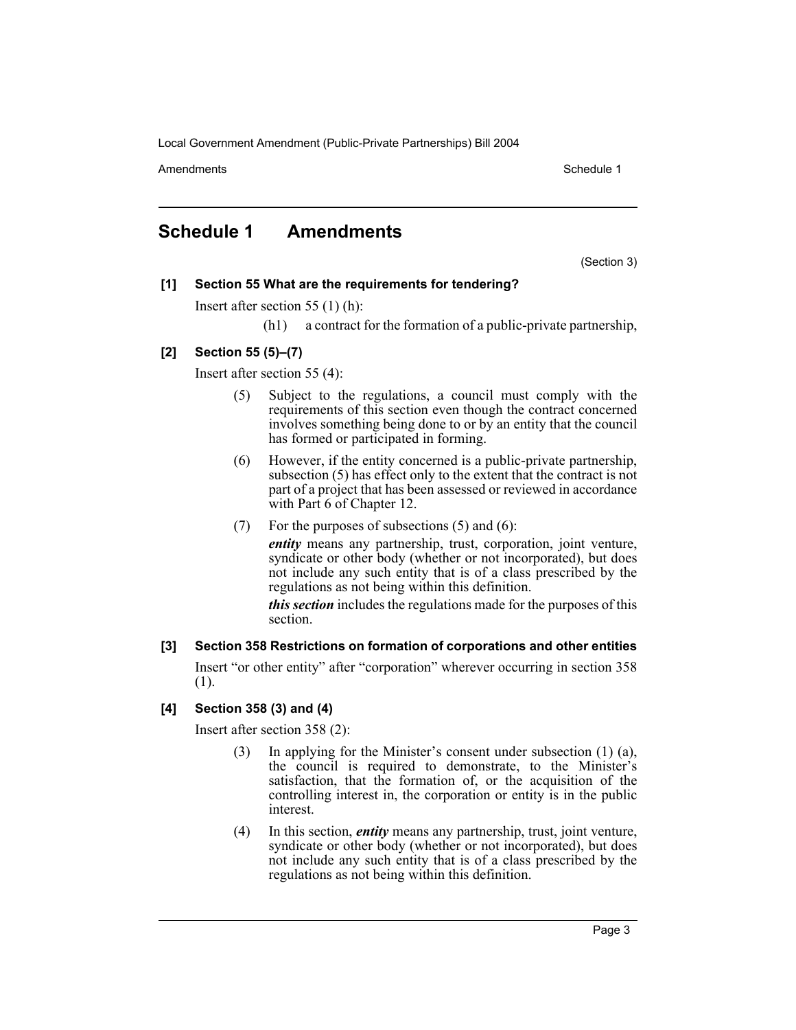Amendments **Schedule 1** and the set of the set of the set of the set of the set of the set of the set of the set of the set of the set of the set of the set of the set of the set of the set of the set of the set of the set

# **Schedule 1 Amendments**

(Section 3)

# **[1] Section 55 What are the requirements for tendering?**

Insert after section 55 (1) (h):

(h1) a contract for the formation of a public-private partnership,

# **[2] Section 55 (5)–(7)**

Insert after section 55 (4):

- (5) Subject to the regulations, a council must comply with the requirements of this section even though the contract concerned involves something being done to or by an entity that the council has formed or participated in forming.
- (6) However, if the entity concerned is a public-private partnership, subsection (5) has effect only to the extent that the contract is not part of a project that has been assessed or reviewed in accordance with Part 6 of Chapter 12.
- (7) For the purposes of subsections (5) and (6):

*entity* means any partnership, trust, corporation, joint venture, syndicate or other body (whether or not incorporated), but does not include any such entity that is of a class prescribed by the regulations as not being within this definition.

*this section* includes the regulations made for the purposes of this section.

**[3] Section 358 Restrictions on formation of corporations and other entities** Insert "or other entity" after "corporation" wherever occurring in section 358 (1).

# **[4] Section 358 (3) and (4)**

Insert after section 358 (2):

- (3) In applying for the Minister's consent under subsection (1) (a), the council is required to demonstrate, to the Minister's satisfaction, that the formation of, or the acquisition of the controlling interest in, the corporation or entity is in the public interest.
- (4) In this section, *entity* means any partnership, trust, joint venture, syndicate or other body (whether or not incorporated), but does not include any such entity that is of a class prescribed by the regulations as not being within this definition.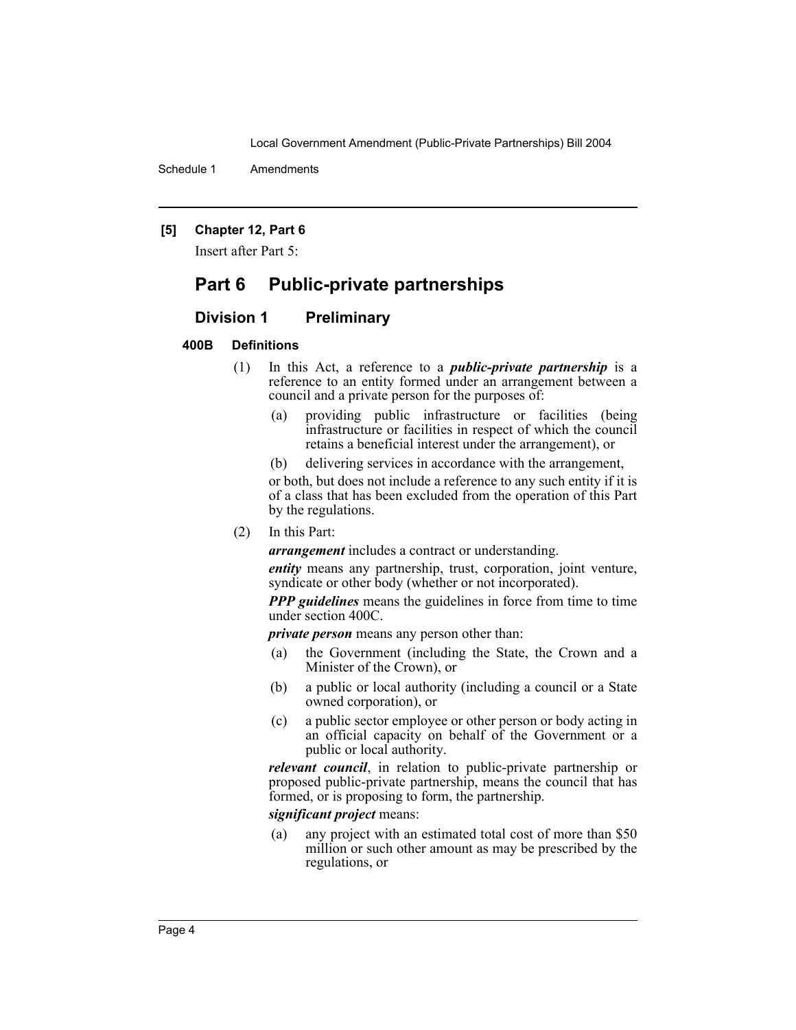Schedule 1 Amendments

#### **[5] Chapter 12, Part 6**

Insert after Part 5:

# **Part 6 Public-private partnerships**

#### **Division 1 Preliminary**

# **400B Definitions**

- (1) In this Act, a reference to a *public-private partnership* is a reference to an entity formed under an arrangement between a council and a private person for the purposes of:
	- (a) providing public infrastructure or facilities (being infrastructure or facilities in respect of which the council retains a beneficial interest under the arrangement), or
	- (b) delivering services in accordance with the arrangement,

or both, but does not include a reference to any such entity if it is of a class that has been excluded from the operation of this Part by the regulations.

(2) In this Part:

*arrangement* includes a contract or understanding.

*entity* means any partnership, trust, corporation, joint venture, syndicate or other body (whether or not incorporated).

*PPP guidelines* means the guidelines in force from time to time under section 400C.

*private person* means any person other than:

- (a) the Government (including the State, the Crown and a Minister of the Crown), or
- (b) a public or local authority (including a council or a State owned corporation), or
- (c) a public sector employee or other person or body acting in an official capacity on behalf of the Government or a public or local authority.

*relevant council*, in relation to public-private partnership or proposed public-private partnership, means the council that has formed, or is proposing to form, the partnership.

#### *significant project* means:

(a) any project with an estimated total cost of more than \$50 million or such other amount as may be prescribed by the regulations, or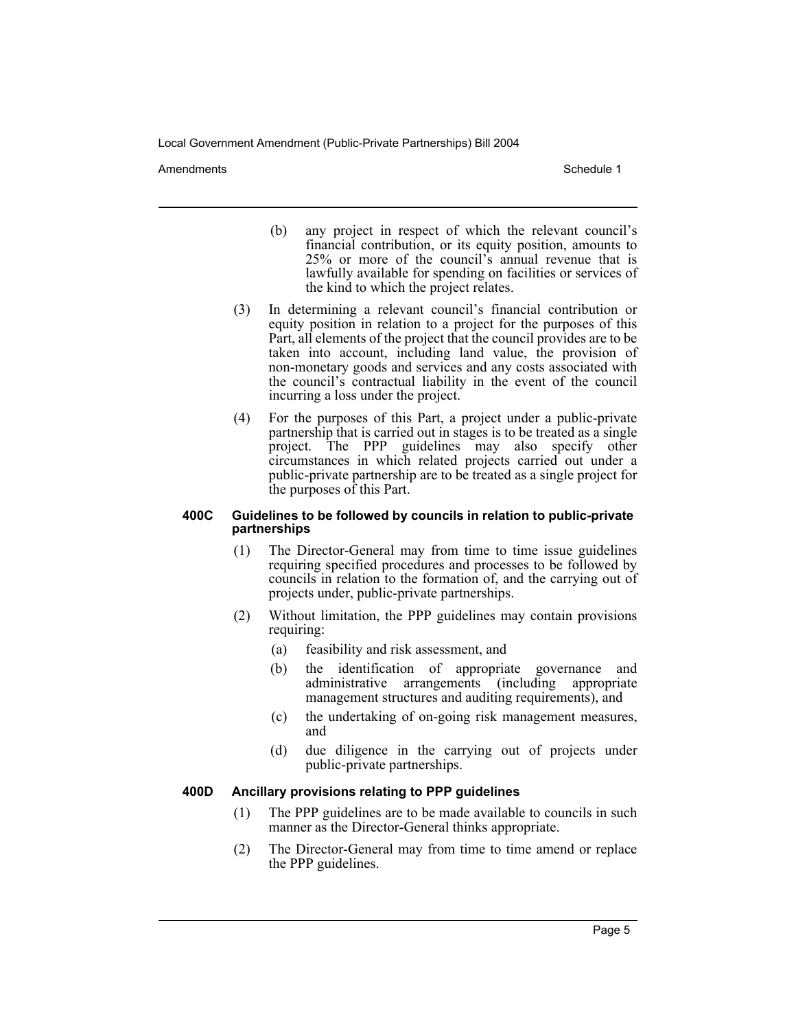Amendments **Schedule 1** and the set of the set of the set of the set of the set of the set of the set of the set of the set of the set of the set of the set of the set of the set of the set of the set of the set of the set

- (b) any project in respect of which the relevant council's financial contribution, or its equity position, amounts to 25% or more of the council's annual revenue that is lawfully available for spending on facilities or services of the kind to which the project relates.
- (3) In determining a relevant council's financial contribution or equity position in relation to a project for the purposes of this Part, all elements of the project that the council provides are to be taken into account, including land value, the provision of non-monetary goods and services and any costs associated with the council's contractual liability in the event of the council incurring a loss under the project.
- (4) For the purposes of this Part, a project under a public-private partnership that is carried out in stages is to be treated as a single project. The PPP guidelines may also specify other circumstances in which related projects carried out under a public-private partnership are to be treated as a single project for the purposes of this Part.

#### **400C Guidelines to be followed by councils in relation to public-private partnerships**

- (1) The Director-General may from time to time issue guidelines requiring specified procedures and processes to be followed by councils in relation to the formation of, and the carrying out of projects under, public-private partnerships.
- (2) Without limitation, the PPP guidelines may contain provisions requiring:
	- (a) feasibility and risk assessment, and
	- (b) the identification of appropriate governance and administrative arrangements (including appropriate management structures and auditing requirements), and
	- (c) the undertaking of on-going risk management measures, and
	- (d) due diligence in the carrying out of projects under public-private partnerships.

# **400D Ancillary provisions relating to PPP guidelines**

- (1) The PPP guidelines are to be made available to councils in such manner as the Director-General thinks appropriate.
- (2) The Director-General may from time to time amend or replace the PPP guidelines.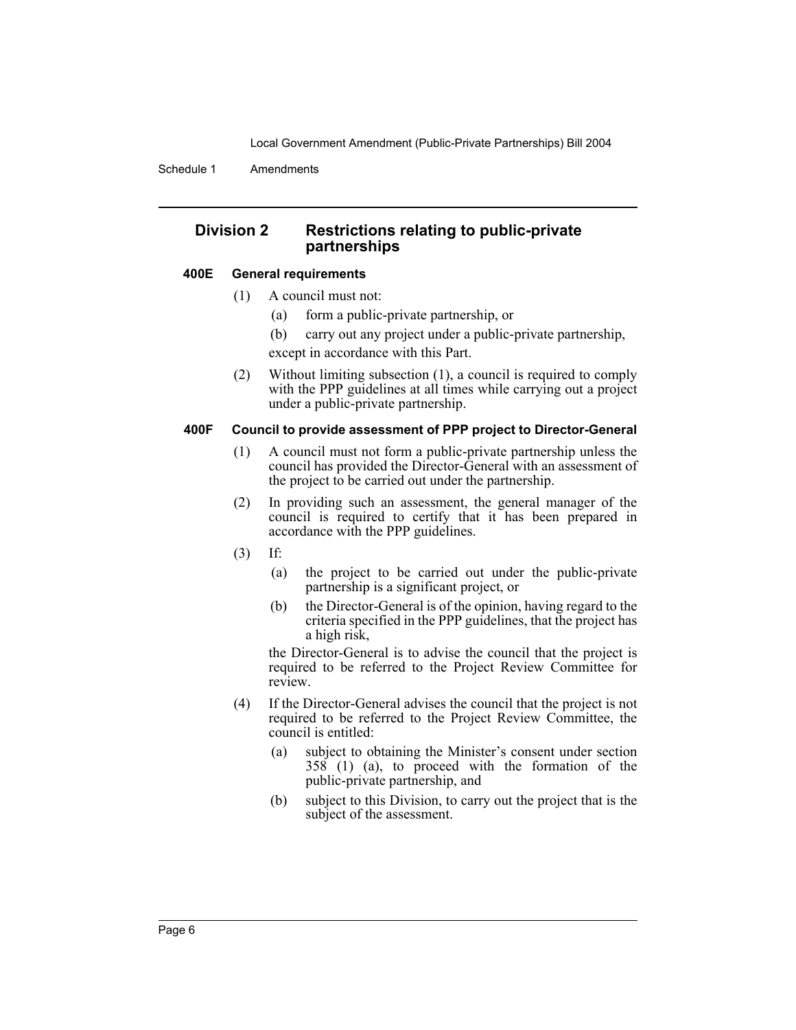Schedule 1 Amendments

# **Division 2 Restrictions relating to public-private partnerships**

#### **400E General requirements**

- (1) A council must not:
	- (a) form a public-private partnership, or
	- (b) carry out any project under a public-private partnership, except in accordance with this Part.
- (2) Without limiting subsection (1), a council is required to comply with the PPP guidelines at all times while carrying out a project under a public-private partnership.

#### **400F Council to provide assessment of PPP project to Director-General**

- (1) A council must not form a public-private partnership unless the council has provided the Director-General with an assessment of the project to be carried out under the partnership.
- (2) In providing such an assessment, the general manager of the council is required to certify that it has been prepared in accordance with the PPP guidelines.
- (3) If:
	- (a) the project to be carried out under the public-private partnership is a significant project, or
	- (b) the Director-General is of the opinion, having regard to the criteria specified in the PPP guidelines, that the project has a high risk,

the Director-General is to advise the council that the project is required to be referred to the Project Review Committee for review.

- (4) If the Director-General advises the council that the project is not required to be referred to the Project Review Committee, the council is entitled:
	- (a) subject to obtaining the Minister's consent under section 358 (1) (a), to proceed with the formation of the public-private partnership, and
	- (b) subject to this Division, to carry out the project that is the subject of the assessment.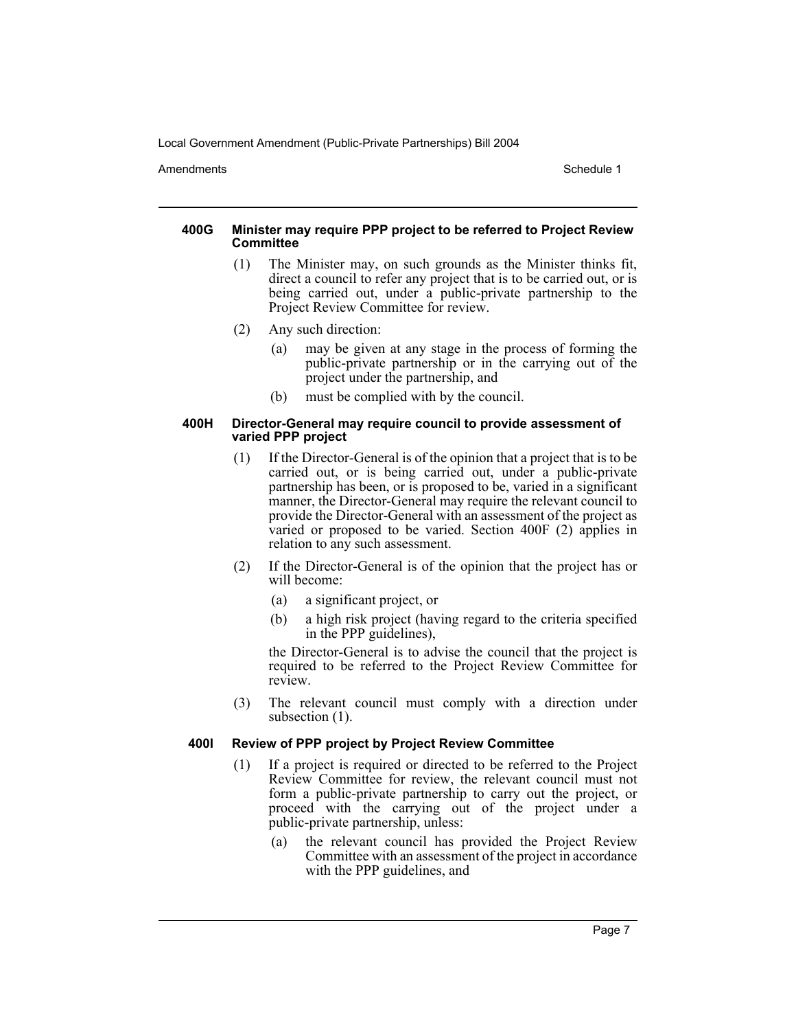Amendments **Schedule 1** and the set of the set of the set of the set of the set of the set of the set of the set of the set of the set of the set of the set of the set of the set of the set of the set of the set of the set

#### **400G Minister may require PPP project to be referred to Project Review Committee**

- (1) The Minister may, on such grounds as the Minister thinks fit, direct a council to refer any project that is to be carried out, or is being carried out, under a public-private partnership to the Project Review Committee for review.
- (2) Any such direction:
	- (a) may be given at any stage in the process of forming the public-private partnership or in the carrying out of the project under the partnership, and
	- (b) must be complied with by the council.

#### **400H Director-General may require council to provide assessment of varied PPP project**

- (1) If the Director-General is of the opinion that a project that is to be carried out, or is being carried out, under a public-private partnership has been, or is proposed to be, varied in a significant manner, the Director-General may require the relevant council to provide the Director-General with an assessment of the project as varied or proposed to be varied. Section 400F (2) applies in relation to any such assessment.
- (2) If the Director-General is of the opinion that the project has or will become:
	- (a) a significant project, or
	- (b) a high risk project (having regard to the criteria specified in the PPP guidelines),

the Director-General is to advise the council that the project is required to be referred to the Project Review Committee for review.

(3) The relevant council must comply with a direction under subsection  $(1)$ .

# **400I Review of PPP project by Project Review Committee**

- (1) If a project is required or directed to be referred to the Project Review Committee for review, the relevant council must not form a public-private partnership to carry out the project, or proceed with the carrying out of the project under a public-private partnership, unless:
	- (a) the relevant council has provided the Project Review Committee with an assessment of the project in accordance with the PPP guidelines, and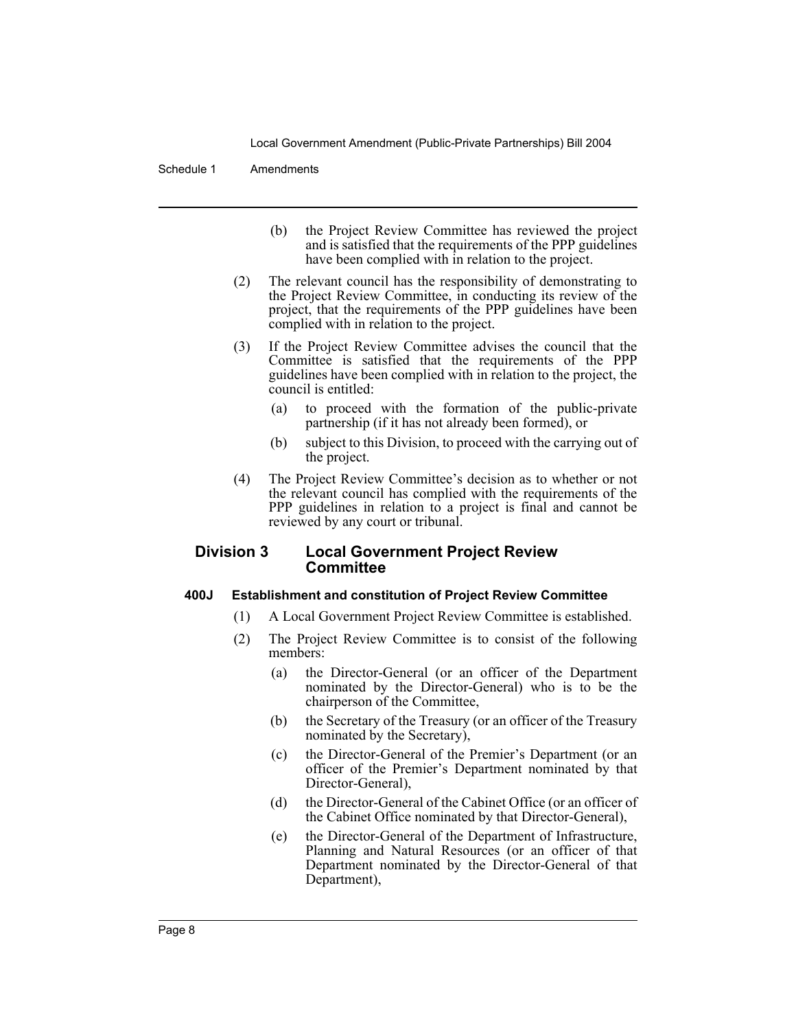#### Schedule 1 Amendments

- (b) the Project Review Committee has reviewed the project and is satisfied that the requirements of the PPP guidelines have been complied with in relation to the project.
- (2) The relevant council has the responsibility of demonstrating to the Project Review Committee, in conducting its review of the project, that the requirements of the PPP guidelines have been complied with in relation to the project.
- (3) If the Project Review Committee advises the council that the Committee is satisfied that the requirements of the PPP guidelines have been complied with in relation to the project, the council is entitled:
	- (a) to proceed with the formation of the public-private partnership (if it has not already been formed), or
	- (b) subject to this Division, to proceed with the carrying out of the project.
- (4) The Project Review Committee's decision as to whether or not the relevant council has complied with the requirements of the PPP guidelines in relation to a project is final and cannot be reviewed by any court or tribunal.

# **Division 3 Local Government Project Review Committee**

#### **400J Establishment and constitution of Project Review Committee**

- (1) A Local Government Project Review Committee is established.
- (2) The Project Review Committee is to consist of the following members:
	- (a) the Director-General (or an officer of the Department nominated by the Director-General) who is to be the chairperson of the Committee,
	- (b) the Secretary of the Treasury (or an officer of the Treasury nominated by the Secretary),
	- (c) the Director-General of the Premier's Department (or an officer of the Premier's Department nominated by that Director-General),
	- (d) the Director-General of the Cabinet Office (or an officer of the Cabinet Office nominated by that Director-General),
	- (e) the Director-General of the Department of Infrastructure, Planning and Natural Resources (or an officer of that Department nominated by the Director-General of that Department),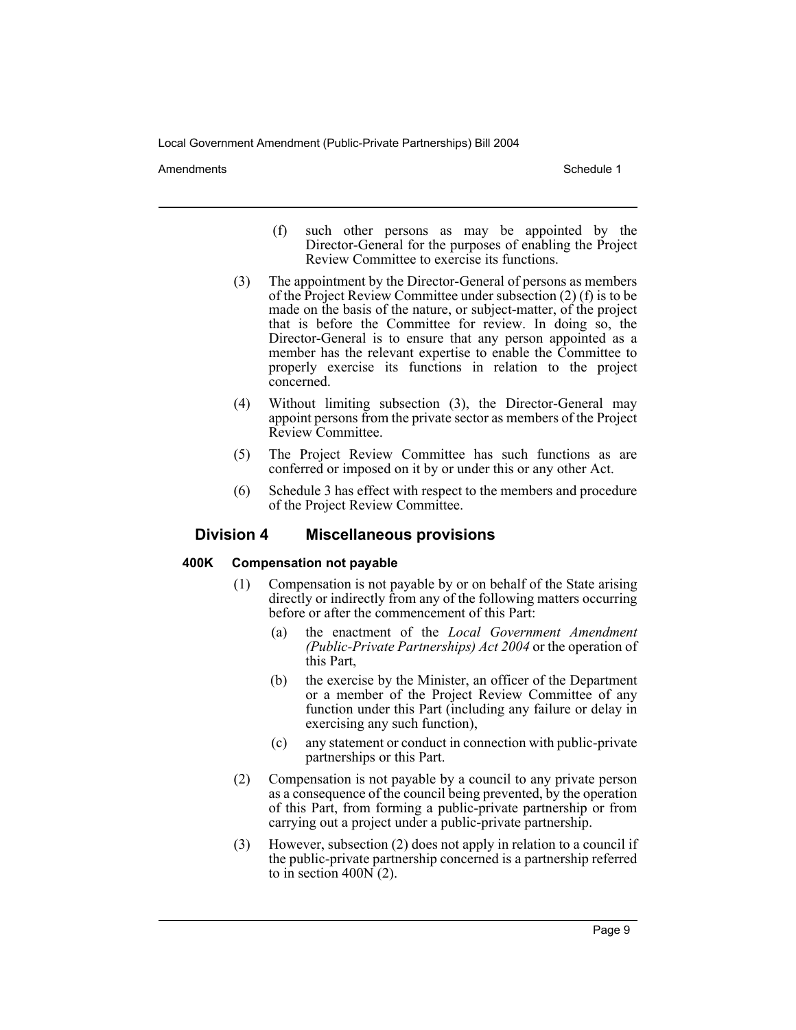Amendments **Schedule 1** and the set of the set of the set of the set of the set of the set of the set of the set of the set of the set of the set of the set of the set of the set of the set of the set of the set of the set

- (f) such other persons as may be appointed by the Director-General for the purposes of enabling the Project Review Committee to exercise its functions.
- (3) The appointment by the Director-General of persons as members of the Project Review Committee under subsection (2) (f) is to be made on the basis of the nature, or subject-matter, of the project that is before the Committee for review. In doing so, the Director-General is to ensure that any person appointed as a member has the relevant expertise to enable the Committee to properly exercise its functions in relation to the project concerned.
- (4) Without limiting subsection (3), the Director-General may appoint persons from the private sector as members of the Project Review Committee.
- (5) The Project Review Committee has such functions as are conferred or imposed on it by or under this or any other Act.
- (6) Schedule 3 has effect with respect to the members and procedure of the Project Review Committee.

# **Division 4 Miscellaneous provisions**

# **400K Compensation not payable**

- (1) Compensation is not payable by or on behalf of the State arising directly or indirectly from any of the following matters occurring before or after the commencement of this Part:
	- (a) the enactment of the *Local Government Amendment (Public-Private Partnerships) Act 2004* or the operation of this Part,
	- (b) the exercise by the Minister, an officer of the Department or a member of the Project Review Committee of any function under this Part (including any failure or delay in exercising any such function),
	- (c) any statement or conduct in connection with public-private partnerships or this Part.
- (2) Compensation is not payable by a council to any private person as a consequence of the council being prevented, by the operation of this Part, from forming a public-private partnership or from carrying out a project under a public-private partnership.
- (3) However, subsection (2) does not apply in relation to a council if the public-private partnership concerned is a partnership referred to in section  $400N(2)$ .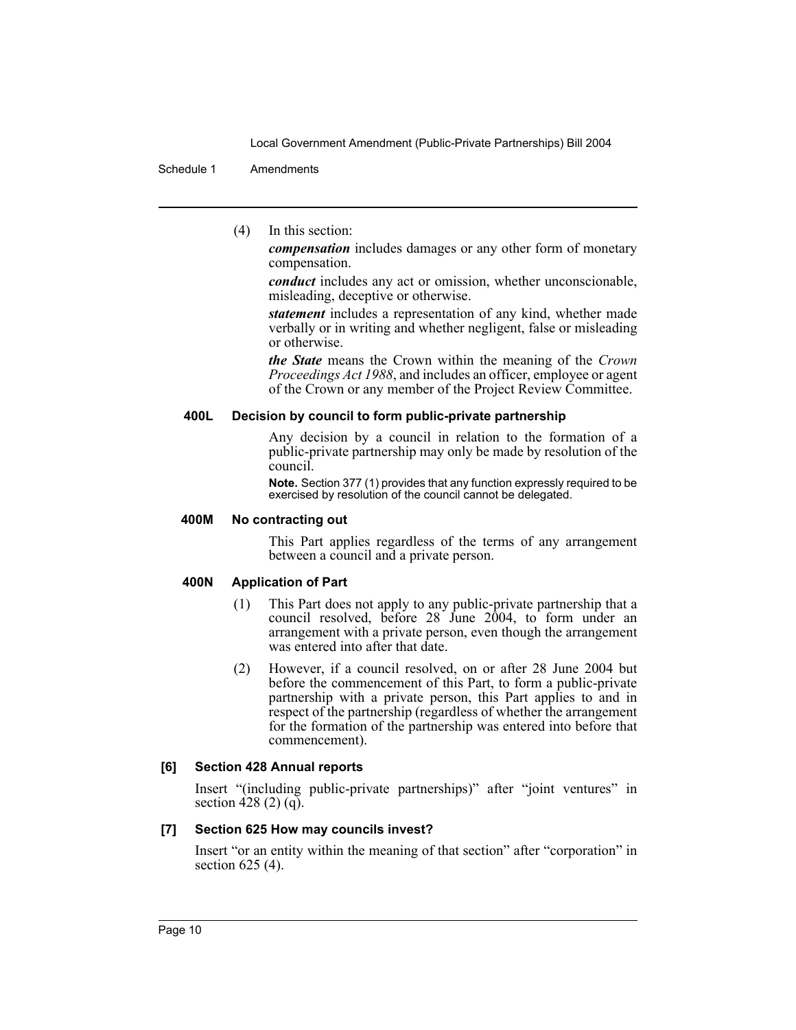#### Schedule 1 Amendments

(4) In this section:

*compensation* includes damages or any other form of monetary compensation.

*conduct* includes any act or omission, whether unconscionable, misleading, deceptive or otherwise.

*statement* includes a representation of any kind, whether made verbally or in writing and whether negligent, false or misleading or otherwise.

*the State* means the Crown within the meaning of the *Crown Proceedings Act 1988*, and includes an officer, employee or agent of the Crown or any member of the Project Review Committee.

# **400L Decision by council to form public-private partnership**

Any decision by a council in relation to the formation of a public-private partnership may only be made by resolution of the council.

**Note.** Section 377 (1) provides that any function expressly required to be exercised by resolution of the council cannot be delegated.

#### **400M No contracting out**

This Part applies regardless of the terms of any arrangement between a council and a private person.

# **400N Application of Part**

- (1) This Part does not apply to any public-private partnership that a council resolved, before 28 June 2004, to form under an arrangement with a private person, even though the arrangement was entered into after that date.
- (2) However, if a council resolved, on or after 28 June 2004 but before the commencement of this Part, to form a public-private partnership with a private person, this Part applies to and in respect of the partnership (regardless of whether the arrangement for the formation of the partnership was entered into before that commencement).

# **[6] Section 428 Annual reports**

Insert "(including public-private partnerships)" after "joint ventures" in section 428 (2) (q).

# **[7] Section 625 How may councils invest?**

Insert "or an entity within the meaning of that section" after "corporation" in section 625 (4).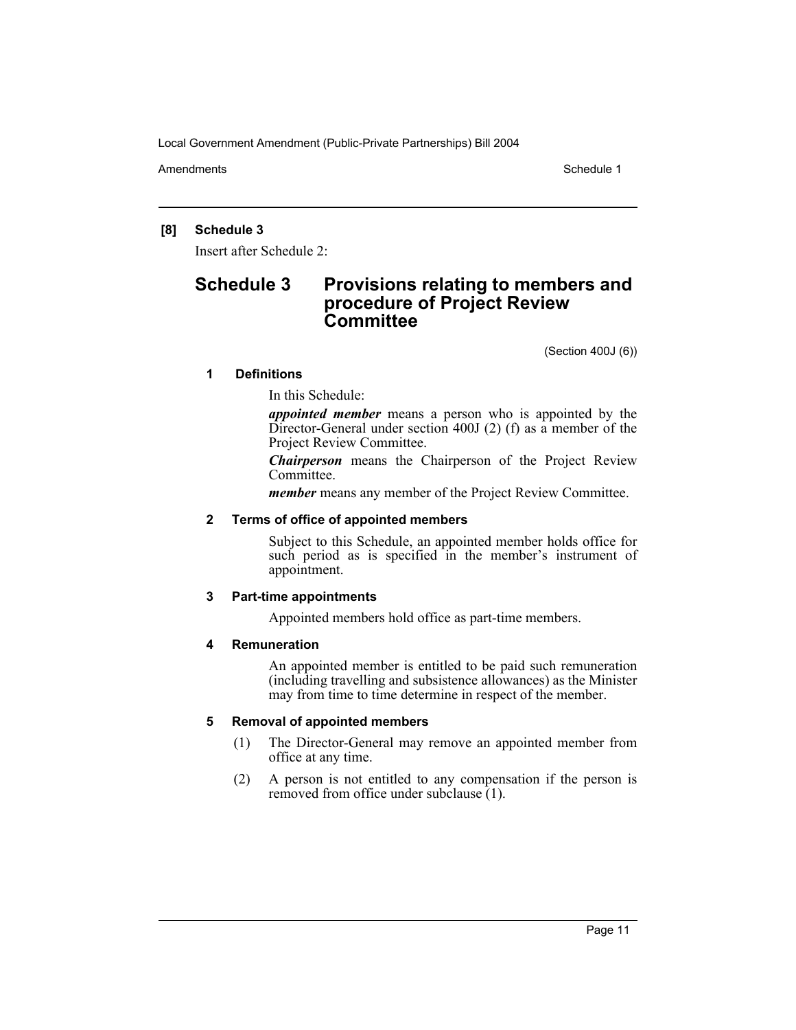Amendments **Schedule 1** and the set of the set of the set of the set of the set of the set of the set of the set of the set of the set of the set of the set of the set of the set of the set of the set of the set of the set

# **[8] Schedule 3**

Insert after Schedule 2:

# **Schedule 3 Provisions relating to members and procedure of Project Review Committee**

(Section 400J (6))

# **1 Definitions**

In this Schedule:

*appointed member* means a person who is appointed by the Director-General under section 400J (2) (f) as a member of the Project Review Committee.

*Chairperson* means the Chairperson of the Project Review Committee.

*member* means any member of the Project Review Committee.

### **2 Terms of office of appointed members**

Subject to this Schedule, an appointed member holds office for such period as is specified in the member's instrument of appointment.

#### **3 Part-time appointments**

Appointed members hold office as part-time members.

# **4 Remuneration**

An appointed member is entitled to be paid such remuneration (including travelling and subsistence allowances) as the Minister may from time to time determine in respect of the member.

#### **5 Removal of appointed members**

- (1) The Director-General may remove an appointed member from office at any time.
- (2) A person is not entitled to any compensation if the person is removed from office under subclause (1).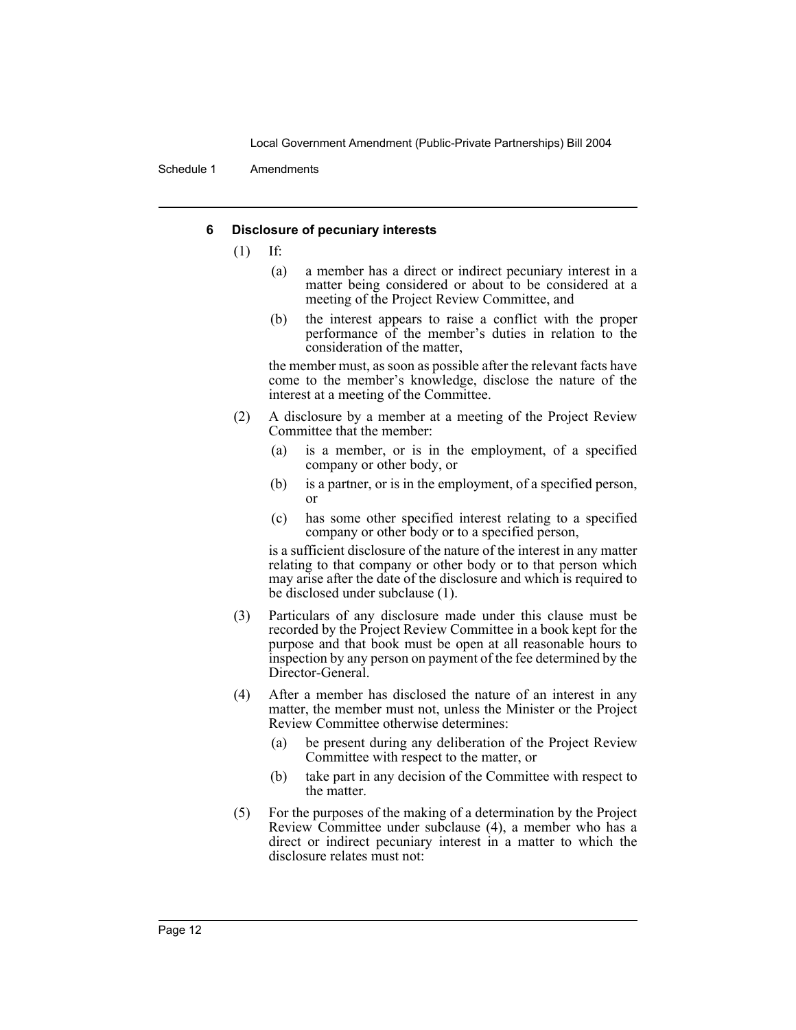Schedule 1 Amendments

# **6 Disclosure of pecuniary interests**

- (1) If:
	- (a) a member has a direct or indirect pecuniary interest in a matter being considered or about to be considered at a meeting of the Project Review Committee, and
	- (b) the interest appears to raise a conflict with the proper performance of the member's duties in relation to the consideration of the matter,

the member must, as soon as possible after the relevant facts have come to the member's knowledge, disclose the nature of the interest at a meeting of the Committee.

- (2) A disclosure by a member at a meeting of the Project Review Committee that the member:
	- (a) is a member, or is in the employment, of a specified company or other body, or
	- (b) is a partner, or is in the employment, of a specified person, or
	- (c) has some other specified interest relating to a specified company or other body or to a specified person,

is a sufficient disclosure of the nature of the interest in any matter relating to that company or other body or to that person which may arise after the date of the disclosure and which is required to be disclosed under subclause (1).

- (3) Particulars of any disclosure made under this clause must be recorded by the Project Review Committee in a book kept for the purpose and that book must be open at all reasonable hours to inspection by any person on payment of the fee determined by the Director-General.
- (4) After a member has disclosed the nature of an interest in any matter, the member must not, unless the Minister or the Project Review Committee otherwise determines:
	- (a) be present during any deliberation of the Project Review Committee with respect to the matter, or
	- (b) take part in any decision of the Committee with respect to the matter.
- (5) For the purposes of the making of a determination by the Project Review Committee under subclause (4), a member who has a direct or indirect pecuniary interest in a matter to which the disclosure relates must not: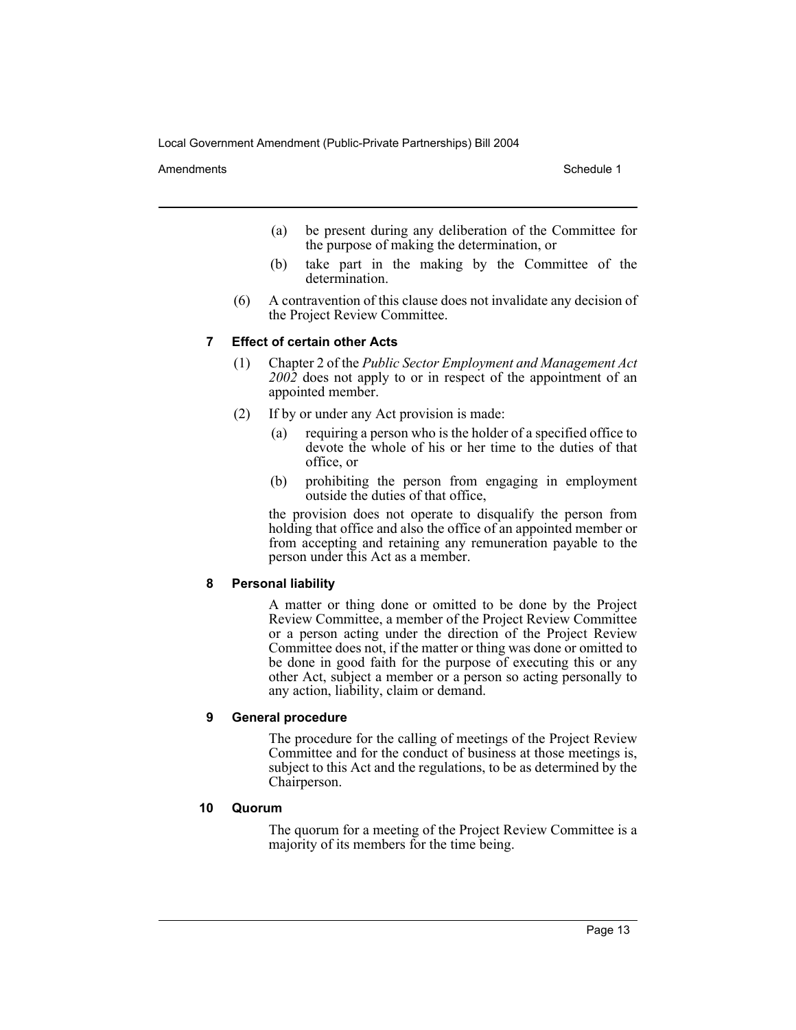Amendments **Schedule 1** and the set of the set of the set of the set of the set of the set of the set of the set of the set of the set of the set of the set of the set of the set of the set of the set of the set of the set

- (a) be present during any deliberation of the Committee for the purpose of making the determination, or
- (b) take part in the making by the Committee of the determination.
- (6) A contravention of this clause does not invalidate any decision of the Project Review Committee.

#### **7 Effect of certain other Acts**

- (1) Chapter 2 of the *Public Sector Employment and Management Act 2002* does not apply to or in respect of the appointment of an appointed member.
- (2) If by or under any Act provision is made:
	- (a) requiring a person who is the holder of a specified office to devote the whole of his or her time to the duties of that office, or
	- (b) prohibiting the person from engaging in employment outside the duties of that office,

the provision does not operate to disqualify the person from holding that office and also the office of an appointed member or from accepting and retaining any remuneration payable to the person under this Act as a member.

#### **8 Personal liability**

A matter or thing done or omitted to be done by the Project Review Committee, a member of the Project Review Committee or a person acting under the direction of the Project Review Committee does not, if the matter or thing was done or omitted to be done in good faith for the purpose of executing this or any other Act, subject a member or a person so acting personally to any action, liability, claim or demand.

# **9 General procedure**

The procedure for the calling of meetings of the Project Review Committee and for the conduct of business at those meetings is, subject to this Act and the regulations, to be as determined by the Chairperson.

#### **10 Quorum**

The quorum for a meeting of the Project Review Committee is a majority of its members for the time being.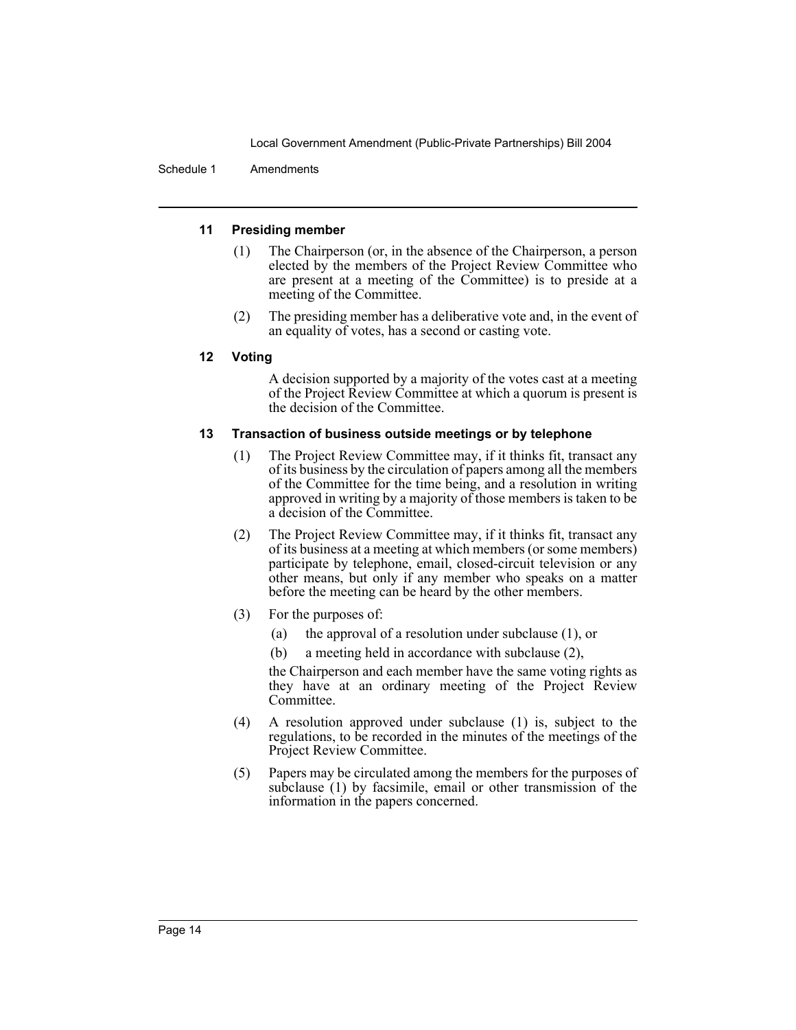Schedule 1 Amendments

# **11 Presiding member**

- (1) The Chairperson (or, in the absence of the Chairperson, a person elected by the members of the Project Review Committee who are present at a meeting of the Committee) is to preside at a meeting of the Committee.
- (2) The presiding member has a deliberative vote and, in the event of an equality of votes, has a second or casting vote.

# **12 Voting**

A decision supported by a majority of the votes cast at a meeting of the Project Review Committee at which a quorum is present is the decision of the Committee.

# **13 Transaction of business outside meetings or by telephone**

- (1) The Project Review Committee may, if it thinks fit, transact any of its business by the circulation of papers among all the members of the Committee for the time being, and a resolution in writing approved in writing by a majority of those members is taken to be a decision of the Committee.
- (2) The Project Review Committee may, if it thinks fit, transact any of its business at a meeting at which members (or some members) participate by telephone, email, closed-circuit television or any other means, but only if any member who speaks on a matter before the meeting can be heard by the other members.
- (3) For the purposes of:
	- (a) the approval of a resolution under subclause (1), or
	- (b) a meeting held in accordance with subclause (2),

the Chairperson and each member have the same voting rights as they have at an ordinary meeting of the Project Review Committee.

- (4) A resolution approved under subclause (1) is, subject to the regulations, to be recorded in the minutes of the meetings of the Project Review Committee.
- (5) Papers may be circulated among the members for the purposes of subclause (1) by facsimile, email or other transmission of the information in the papers concerned.